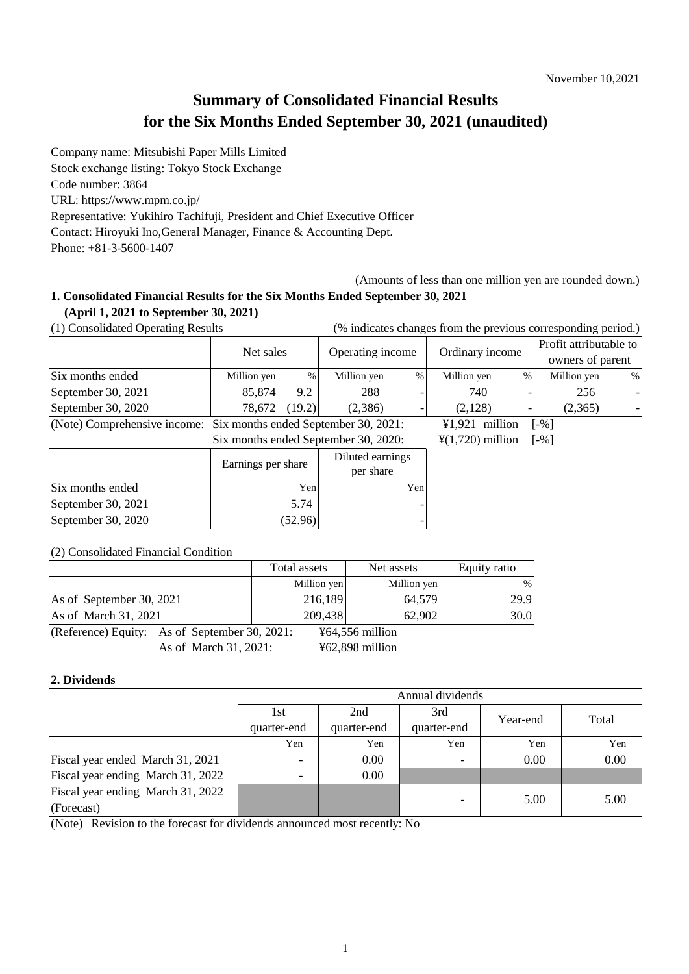# **Summary of Consolidated Financial Results for the Six Months Ended September 30, 2021 (unaudited)**

Company name: Mitsubishi Paper Mills Limited Stock exchange listing: Tokyo Stock Exchange Code number: 3864 URL: https://www.mpm.co.jp/ Representative: Yukihiro Tachifuji, President and Chief Executive Officer Contact: Hiroyuki Ino,General Manager, Finance & Accounting Dept. Phone: +81-3-5600-1407

(Amounts of less than one million yen are rounded down.)

# **1. Consolidated Financial Results for the Six Months Ended September 30, 2021 (April 1, 2021 to September 30, 2021)**

(1) Consolidated Operating Results (% indicates changes from the previous corresponding period.)

|                              | Net sales                            |        | Operating income |                              | Ordinary income |                     | Profit attributable to<br>owners of parent |   |
|------------------------------|--------------------------------------|--------|------------------|------------------------------|-----------------|---------------------|--------------------------------------------|---|
|                              |                                      |        |                  |                              |                 |                     |                                            |   |
| Six months ended             | Million yen                          | %      | Million yen      | $\%$                         | Million yen     | %                   | Million yen                                | % |
| September 30, 2021           | 85,874                               | 9.2    | 288              |                              | 740             |                     | 256                                        |   |
| September 30, 2020           | 78,672                               | (19.2) | (2,386)          |                              | (2,128)         | -                   | (2,365)                                    |   |
| (Note) Comprehensive income: | Six months ended September 30, 2021: |        |                  | $¥1,921$ million             |                 | $\lceil -\% \rceil$ |                                            |   |
|                              | Six months ended September 30, 2020: |        |                  | $\frac{1}{2}(1,720)$ million |                 | $\lceil -\% \rceil$ |                                            |   |
|                              | Earnings per share                   |        | Diluted earnings |                              |                 |                     |                                            |   |
|                              |                                      |        | per share        |                              |                 |                     |                                            |   |
| Six months ended             | Yen                                  |        |                  | Yen                          |                 |                     |                                            |   |
| September 30, 2021           | 5.74                                 |        |                  |                              |                 |                     |                                            |   |
| September 30, 2020           | (52.96)                              |        |                  |                              |                 |                     |                                            |   |

#### (2) Consolidated Financial Condition

|                                               | Total assets | Net assets      | Equity ratio |
|-----------------------------------------------|--------------|-----------------|--------------|
|                                               | Million yen  | Million yen     | %            |
| As of September 30, 2021                      | 216,189      | 64.579          | 29.9         |
| As of March 31, 2021                          | 209,438      | 62,902          | 30.0         |
| (Reference) Equity: As of September 30, 2021: |              | ¥64,556 million |              |
|                                               |              |                 |              |

As of March 31, 2021: ¥62,898 million

## **2. Dividends**

|                                   | Annual dividends         |             |             |          |       |
|-----------------------------------|--------------------------|-------------|-------------|----------|-------|
|                                   | 1st                      | 2nd         | 3rd         | Year-end | Total |
|                                   | quarter-end              | quarter-end | quarter-end |          |       |
|                                   | Yen                      | Yen         | Yen         | Yen      | Yen   |
| Fiscal year ended March 31, 2021  |                          | 0.00        |             | 0.00     | 0.00  |
| Fiscal year ending March 31, 2022 | $\overline{\phantom{a}}$ | 0.00        |             |          |       |
| Fiscal year ending March 31, 2022 |                          |             |             | 5.00     | 5.00  |
| (Forecast)                        |                          |             |             |          |       |

(Note) Revision to the forecast for dividends announced most recently: No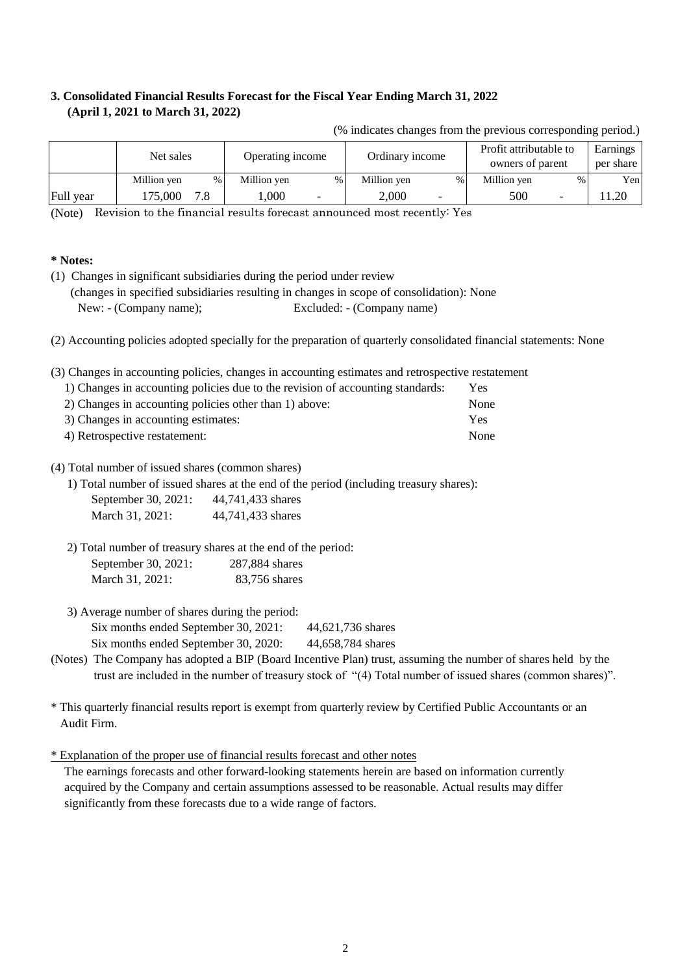## **3. Consolidated Financial Results Forecast for the Fiscal Year Ending March 31, 2022 (April 1, 2021 to March 31, 2022)**

|           | Net sales           | Operating income | Ordinary income                   | Profit attributable to<br>owners of parent | Earnings<br>per share |
|-----------|---------------------|------------------|-----------------------------------|--------------------------------------------|-----------------------|
|           | Million yen<br>$\%$ | Million yen<br>% | Million yen<br>$\%$               | Million yen<br>%1                          | Yen                   |
| Full year | 175,000             | .000<br>-        | 2.000<br>$\overline{\phantom{0}}$ | 500<br>$\overline{\phantom{0}}$            | 1.20                  |

(% indicates changes from the previous corresponding period.)

(Note) Revision to the financial results forecast announced most recently: Yes

#### **\* Notes:**

(1) Changes in significant subsidiaries during the period under review (changes in specified subsidiaries resulting in changes in scope of consolidation): None New: - (Company name); Excluded: - (Company name)

(2) Accounting policies adopted specially for the preparation of quarterly consolidated financial statements: None

(3) Changes in accounting policies, changes in accounting estimates and retrospective restatement

| 1) Changes in accounting policies due to the revision of accounting standards: | Yes. |
|--------------------------------------------------------------------------------|------|
| 2) Changes in accounting policies other than 1) above:                         | None |
| 3) Changes in accounting estimates:                                            | Yes  |
| 4) Retrospective restatement:                                                  | None |

#### (4) Total number of issued shares (common shares)

1) Total number of issued shares at the end of the period (including treasury shares):

| September 30, 2021: | 44,741,433 shares |
|---------------------|-------------------|
| March 31, 2021:     | 44,741,433 shares |

 2) Total number of treasury shares at the end of the period: September 30, 2021: March 31, 2021: 287,884 shares 83,756 shares

3) Average number of shares during the period:

Six months ended September 30, 2021: 44,621,736 shares

Six months ended September 30, 2020: 44,658,784 shares

- (Notes) The Company has adopted a BIP (Board Incentive Plan) trust, assuming the number of shares held by the trust are included in the number of treasury stock of "(4) Total number of issued shares (common shares)".
- \* This quarterly financial results report is exempt from quarterly review by Certified Public Accountants or an Audit Firm.

\* Explanation of the proper use of financial results forecast and other notes

acquired by the Company and certain assumptions assessed to be reasonable. Actual results may differ significantly from these forecasts due to a wide range of factors. The earnings forecasts and other forward-looking statements herein are based on information currently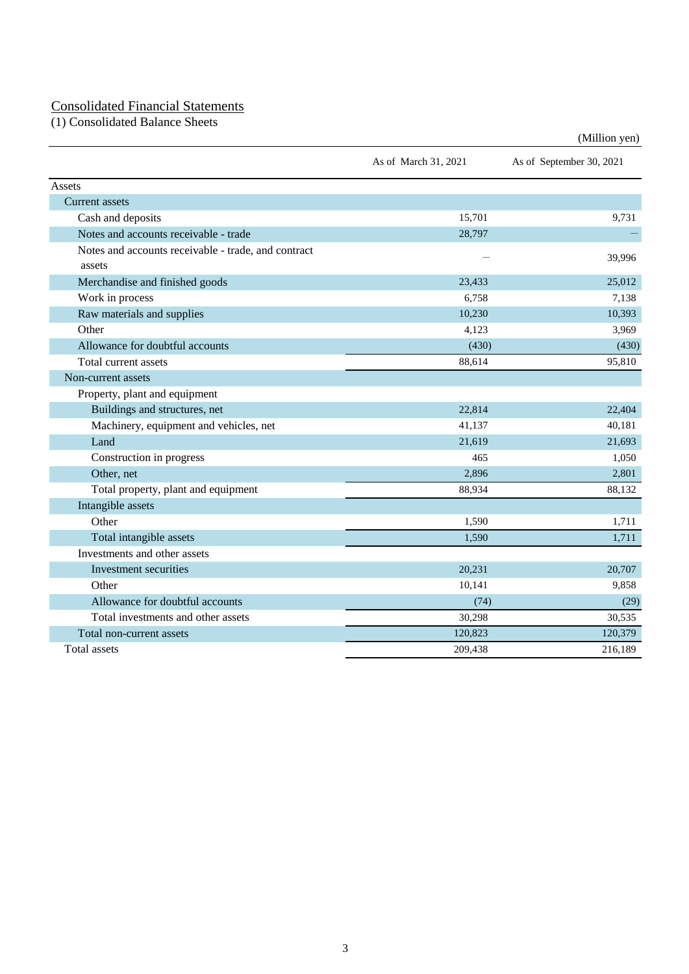#### Consolidated Financial Statements

(1) Consolidated Balance Sheets

|                                                               | As of March 31, 2021 | As of September 30, 2021 |
|---------------------------------------------------------------|----------------------|--------------------------|
| Assets                                                        |                      |                          |
| Current assets                                                |                      |                          |
| Cash and deposits                                             | 15,701               | 9,731                    |
| Notes and accounts receivable - trade                         | 28,797               |                          |
| Notes and accounts receivable - trade, and contract<br>assets |                      | 39,996                   |
| Merchandise and finished goods                                | 23,433               | 25,012                   |
| Work in process                                               | 6,758                | 7,138                    |
| Raw materials and supplies                                    | 10,230               | 10,393                   |
| Other                                                         | 4,123                | 3,969                    |
| Allowance for doubtful accounts                               | (430)                | (430)                    |
| Total current assets                                          | 88,614               | 95,810                   |
| Non-current assets                                            |                      |                          |
| Property, plant and equipment                                 |                      |                          |
| Buildings and structures, net                                 | 22,814               | 22,404                   |
| Machinery, equipment and vehicles, net                        | 41,137               | 40,181                   |
| Land                                                          | 21,619               | 21,693                   |
| Construction in progress                                      | 465                  | 1,050                    |
| Other, net                                                    | 2,896                | 2,801                    |
| Total property, plant and equipment                           | 88,934               | 88,132                   |
| Intangible assets                                             |                      |                          |
| Other                                                         | 1,590                | 1,711                    |
| Total intangible assets                                       | 1,590                | 1,711                    |
| Investments and other assets                                  |                      |                          |
| Investment securities                                         | 20,231               | 20,707                   |
| Other                                                         | 10,141               | 9,858                    |
| Allowance for doubtful accounts                               | (74)                 | (29)                     |
| Total investments and other assets                            | 30,298               | 30,535                   |
| Total non-current assets                                      | 120,823              | 120,379                  |
| Total assets                                                  | 209,438              | 216,189                  |

(Million yen)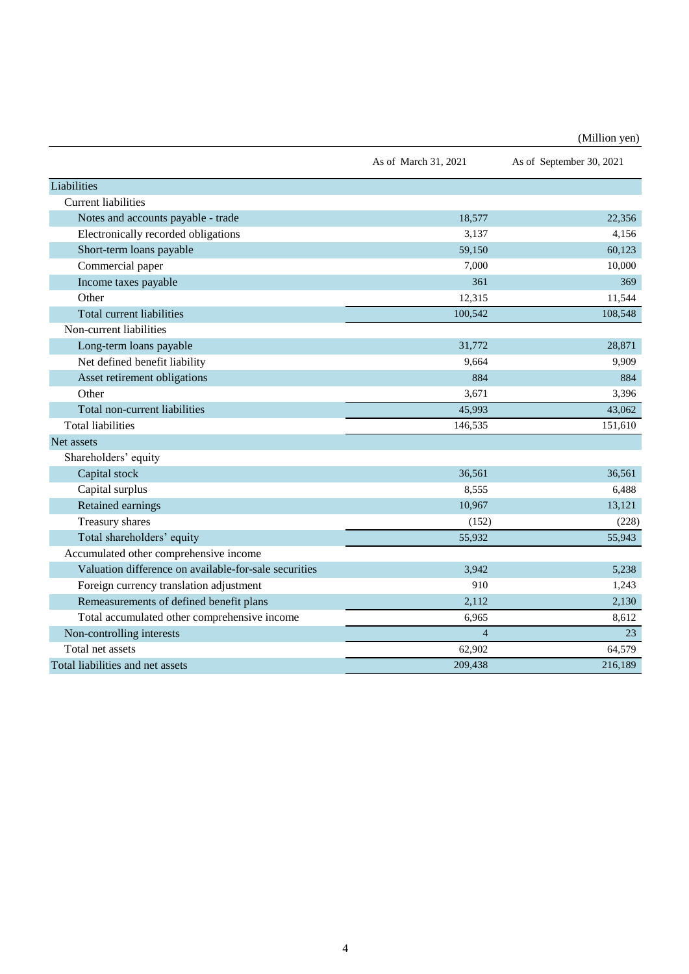(Million yen)

|                                                       | As of March 31, 2021 | As of September 30, 2021 |
|-------------------------------------------------------|----------------------|--------------------------|
| Liabilities                                           |                      |                          |
| <b>Current liabilities</b>                            |                      |                          |
| Notes and accounts payable - trade                    | 18,577               | 22,356                   |
| Electronically recorded obligations                   | 3,137                | 4,156                    |
| Short-term loans payable                              | 59,150               | 60,123                   |
| Commercial paper                                      | 7,000                | 10,000                   |
| Income taxes payable                                  | 361                  | 369                      |
| Other                                                 | 12,315               | 11,544                   |
| Total current liabilities                             | 100,542              | 108,548                  |
| Non-current liabilities                               |                      |                          |
| Long-term loans payable                               | 31,772               | 28,871                   |
| Net defined benefit liability                         | 9,664                | 9,909                    |
| Asset retirement obligations                          | 884                  | 884                      |
| Other                                                 | 3,671                | 3,396                    |
| Total non-current liabilities                         | 45,993               | 43,062                   |
| <b>Total liabilities</b>                              | 146,535              | 151,610                  |
| Net assets                                            |                      |                          |
| Shareholders' equity                                  |                      |                          |
| Capital stock                                         | 36,561               | 36,561                   |
| Capital surplus                                       | 8,555                | 6,488                    |
| Retained earnings                                     | 10,967               | 13,121                   |
| Treasury shares                                       | (152)                | (228)                    |
| Total shareholders' equity                            | 55,932               | 55,943                   |
| Accumulated other comprehensive income                |                      |                          |
| Valuation difference on available-for-sale securities | 3,942                | 5,238                    |
| Foreign currency translation adjustment               | 910                  | 1,243                    |
| Remeasurements of defined benefit plans               | 2,112                | 2,130                    |
| Total accumulated other comprehensive income          | 6,965                | 8,612                    |
| Non-controlling interests                             | $\overline{4}$       | 23                       |
| Total net assets                                      | 62,902               | 64,579                   |
| Total liabilities and net assets                      | 209,438              | 216,189                  |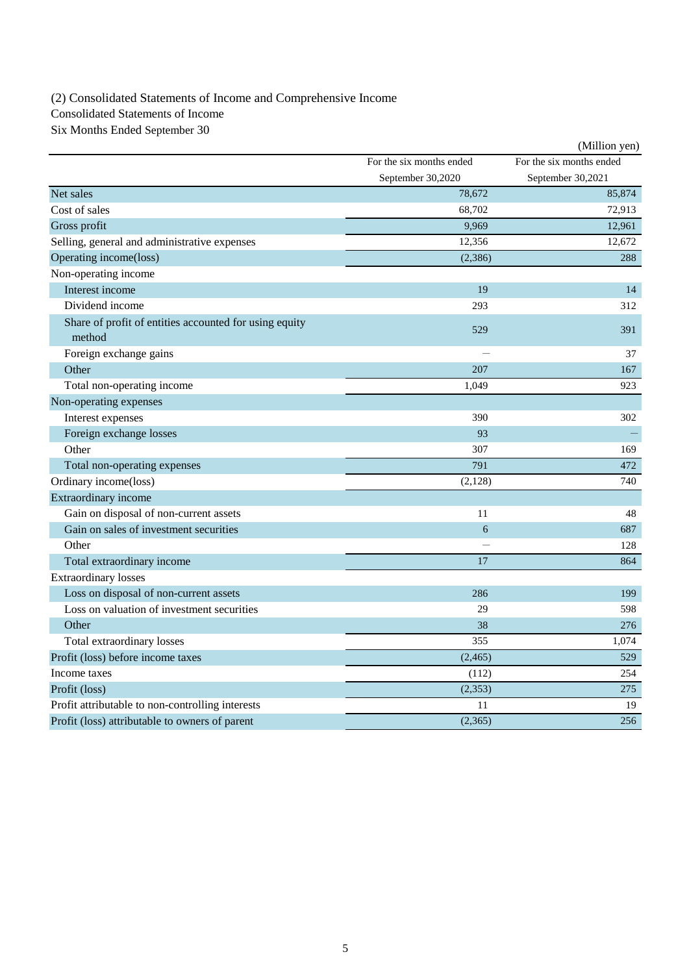(2) Consolidated Statements of Income and Comprehensive Income

Consolidated Statements of Income

Six Months Ended September 30

|                                                                  |                          | (Million yen)            |
|------------------------------------------------------------------|--------------------------|--------------------------|
|                                                                  | For the six months ended | For the six months ended |
|                                                                  | September 30,2020        | September 30,2021        |
| Net sales                                                        | 78,672                   | 85.874                   |
| Cost of sales                                                    | 68,702                   | 72,913                   |
| Gross profit                                                     | 9,969                    | 12,961                   |
| Selling, general and administrative expenses                     | 12,356                   | 12,672                   |
| Operating income(loss)                                           | (2,386)                  | 288                      |
| Non-operating income                                             |                          |                          |
| Interest income                                                  | 19                       | 14                       |
| Dividend income                                                  | 293                      | 312                      |
| Share of profit of entities accounted for using equity<br>method | 529                      | 391                      |
| Foreign exchange gains                                           |                          | 37                       |
| Other                                                            | 207                      | 167                      |
| Total non-operating income                                       | 1,049                    | 923                      |
| Non-operating expenses                                           |                          |                          |
| Interest expenses                                                | 390                      | 302                      |
| Foreign exchange losses                                          | 93                       |                          |
| Other                                                            | 307                      | 169                      |
| Total non-operating expenses                                     | 791                      | 472                      |
| Ordinary income(loss)                                            | (2,128)                  | 740                      |
| Extraordinary income                                             |                          |                          |
| Gain on disposal of non-current assets                           | 11                       | 48                       |
| Gain on sales of investment securities                           | 6                        | 687                      |
| Other                                                            |                          | 128                      |
| Total extraordinary income                                       | 17                       | 864                      |
| <b>Extraordinary losses</b>                                      |                          |                          |
| Loss on disposal of non-current assets                           | 286                      | 199                      |
| Loss on valuation of investment securities                       | 29                       | 598                      |
| Other                                                            | 38                       | 276                      |
| Total extraordinary losses                                       | 355                      | 1,074                    |
| Profit (loss) before income taxes                                | (2, 465)                 | 529                      |
| Income taxes                                                     | (112)                    | 254                      |
| Profit (loss)                                                    | (2, 353)                 | 275                      |
| Profit attributable to non-controlling interests                 | 11                       | 19                       |
| Profit (loss) attributable to owners of parent                   | (2,365)                  | 256                      |